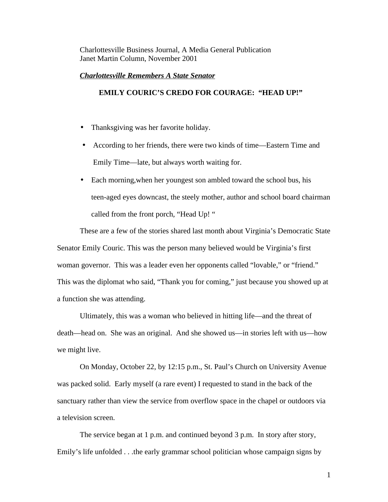Charlottesville Business Journal, A Media General Publication Janet Martin Column, November 2001

## *Charlottesville Remembers A State Senator*

## **EMILY COURIC'S CREDO FOR COURAGE: "HEAD UP!"**

- Thanksgiving was her favorite holiday.
- According to her friends, there were two kinds of time—Eastern Time and Emily Time—late, but always worth waiting for.
- Each morning, when her youngest son ambled toward the school bus, his teen-aged eyes downcast, the steely mother, author and school board chairman called from the front porch, "Head Up! "

These are a few of the stories shared last month about Virginia's Democratic State Senator Emily Couric. This was the person many believed would be Virginia's first woman governor. This was a leader even her opponents called "lovable," or "friend." This was the diplomat who said, "Thank you for coming," just because you showed up at a function she was attending.

Ultimately, this was a woman who believed in hitting life—and the threat of death—head on. She was an original. And she showed us—in stories left with us—how we might live.

On Monday, October 22, by 12:15 p.m., St. Paul's Church on University Avenue was packed solid. Early myself (a rare event) I requested to stand in the back of the sanctuary rather than view the service from overflow space in the chapel or outdoors via a television screen.

The service began at 1 p.m. and continued beyond 3 p.m. In story after story, Emily's life unfolded . . .the early grammar school politician whose campaign signs by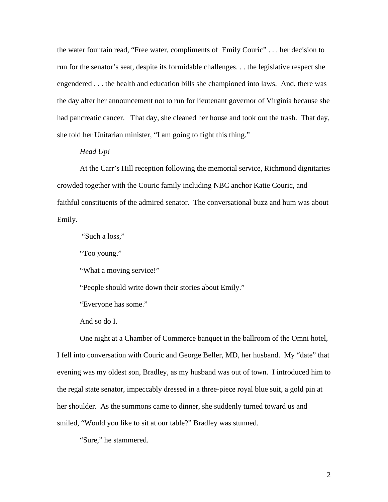the water fountain read, "Free water, compliments of Emily Couric" . . . her decision to run for the senator's seat, despite its formidable challenges. . . the legislative respect she engendered . . . the health and education bills she championed into laws. And, there was the day after her announcement not to run for lieutenant governor of Virginia because she had pancreatic cancer. That day, she cleaned her house and took out the trash. That day, she told her Unitarian minister, "I am going to fight this thing."

## *Head Up!*

At the Carr's Hill reception following the memorial service, Richmond dignitaries crowded together with the Couric family including NBC anchor Katie Couric, and faithful constituents of the admired senator. The conversational buzz and hum was about Emily.

"Such a loss,"

"Too young."

"What a moving service!"

"People should write down their stories about Emily."

"Everyone has some."

And so do I.

One night at a Chamber of Commerce banquet in the ballroom of the Omni hotel, I fell into conversation with Couric and George Beller, MD, her husband. My "date" that evening was my oldest son, Bradley, as my husband was out of town. I introduced him to the regal state senator, impeccably dressed in a three-piece royal blue suit, a gold pin at her shoulder. As the summons came to dinner, she suddenly turned toward us and smiled, "Would you like to sit at our table?" Bradley was stunned.

"Sure," he stammered.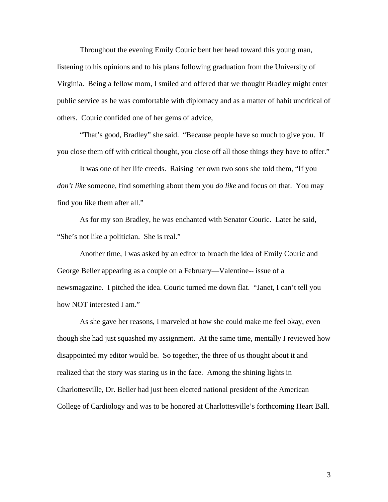Throughout the evening Emily Couric bent her head toward this young man, listening to his opinions and to his plans following graduation from the University of Virginia. Being a fellow mom, I smiled and offered that we thought Bradley might enter public service as he was comfortable with diplomacy and as a matter of habit uncritical of others. Couric confided one of her gems of advice,

"That's good, Bradley" she said. "Because people have so much to give you. If you close them off with critical thought, you close off all those things they have to offer."

It was one of her life creeds. Raising her own two sons she told them, "If you *don't like* someone, find something about them you *do like* and focus on that. You may find you like them after all."

As for my son Bradley, he was enchanted with Senator Couric. Later he said, "She's not like a politician. She is real."

Another time, I was asked by an editor to broach the idea of Emily Couric and George Beller appearing as a couple on a February—Valentine-- issue of a newsmagazine. I pitched the idea. Couric turned me down flat. "Janet, I can't tell you how NOT interested I am."

As she gave her reasons, I marveled at how she could make me feel okay, even though she had just squashed my assignment. At the same time, mentally I reviewed how disappointed my editor would be. So together, the three of us thought about it and realized that the story was staring us in the face. Among the shining lights in Charlottesville, Dr. Beller had just been elected national president of the American College of Cardiology and was to be honored at Charlottesville's forthcoming Heart Ball.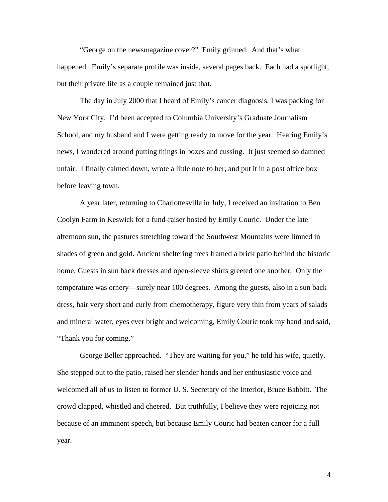"George on the newsmagazine cover?" Emily grinned. And that's what happened. Emily's separate profile was inside, several pages back. Each had a spotlight, but their private life as a couple remained just that.

The day in July 2000 that I heard of Emily's cancer diagnosis, I was packing for New York City. I'd been accepted to Columbia University's Graduate Journalism School, and my husband and I were getting ready to move for the year. Hearing Emily's news, I wandered around putting things in boxes and cussing. It just seemed so damned unfair. I finally calmed down, wrote a little note to her, and put it in a post office box before leaving town.

A year later, returning to Charlottesville in July, I received an invitation to Ben Coolyn Farm in Keswick for a fund-raiser hosted by Emily Couric. Under the late afternoon sun, the pastures stretching toward the Southwest Mountains were limned in shades of green and gold. Ancient sheltering trees framed a brick patio behind the historic home. Guests in sun back dresses and open-sleeve shirts greeted one another. Only the temperature was ornery—surely near 100 degrees. Among the guests, also in a sun back dress, hair very short and curly from chemotherapy, figure very thin from years of salads and mineral water, eyes ever bright and welcoming, Emily Couric took my hand and said, "Thank you for coming."

George Beller approached. "They are waiting for you," he told his wife, quietly. She stepped out to the patio, raised her slender hands and her enthusiastic voice and welcomed all of us to listen to former U. S. Secretary of the Interior, Bruce Babbitt. The crowd clapped, whistled and cheered. But truthfully, I believe they were rejoicing not because of an imminent speech, but because Emily Couric had beaten cancer for a full year.

4